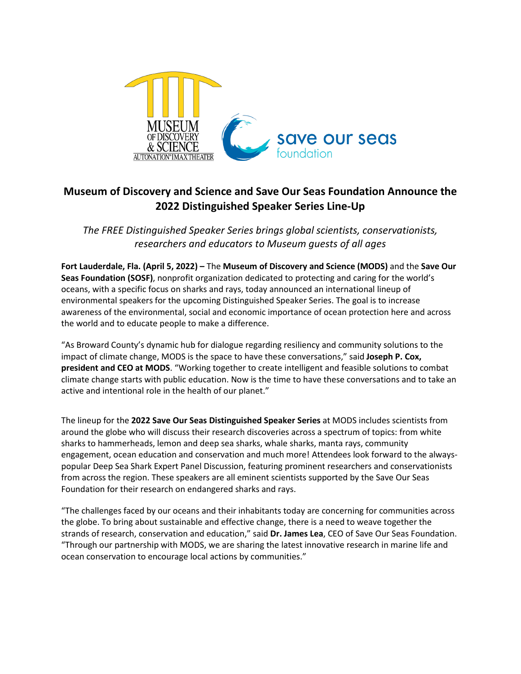

# **Museum of Discovery and Science and Save Our Seas Foundation Announce the 2022 Distinguished Speaker Series Line-Up**

*The FREE Distinguished Speaker Series brings global scientists, conservationists, researchers and educators to Museum guests of all ages*

**Fort Lauderdale, Fla. (April 5, 2022) –** The **Museum of Discovery and Science (MODS)** and the **Save Our Seas Foundation (SOSF)**, nonprofit organization dedicated to protecting and caring for the world's oceans, with a specific focus on sharks and rays, today announced an international lineup of environmental speakers for the upcoming Distinguished Speaker Series. The goal is to increase awareness of the environmental, social and economic importance of ocean protection here and across the world and to educate people to make a difference.

"As Broward County's dynamic hub for dialogue regarding resiliency and community solutions to the impact of climate change, MODS is the space to have these conversations," said **Joseph P. Cox, president and CEO at MODS**. "Working together to create intelligent and feasible solutions to combat climate change starts with public education. Now is the time to have these conversations and to take an active and intentional role in the health of our planet."

The lineup for the **2022 Save Our Seas Distinguished Speaker Series** at MODS includes scientists from around the globe who will discuss their research discoveries across a spectrum of topics: from white sharks to hammerheads, lemon and deep sea sharks, whale sharks, manta rays, community engagement, ocean education and conservation and much more! Attendees look forward to the alwayspopular Deep Sea Shark Expert Panel Discussion, featuring prominent researchers and conservationists from across the region. These speakers are all eminent scientists supported by the Save Our Seas Foundation for their research on endangered sharks and rays.

"The challenges faced by our oceans and their inhabitants today are concerning for communities across the globe. To bring about sustainable and effective change, there is a need to weave together the strands of research, conservation and education," said **Dr. James Lea**, CEO of Save Our Seas Foundation. "Through our partnership with MODS, we are sharing the latest innovative research in marine life and ocean conservation to encourage local actions by communities."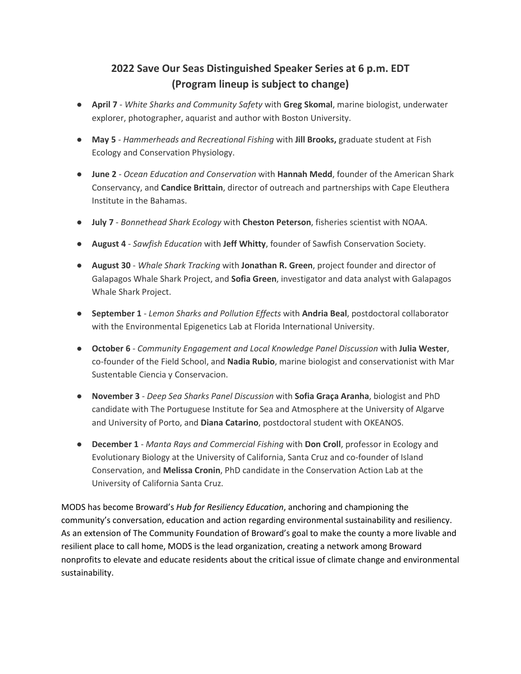# **2022 Save Our Seas Distinguished Speaker Series at 6 p.m. EDT (Program lineup is subject to change)**

- **April 7**  *White Sharks and Community Safety* with **Greg Skomal**, marine biologist, underwater explorer, photographer, aquarist and author with Boston University.
- **May 5** *Hammerheads and Recreational Fishing* with **Jill Brooks,** graduate student at Fish Ecology and Conservation Physiology.
- **June 2**  *Ocean Education and Conservation* with **Hannah Medd**, founder of the American Shark Conservancy, and **Candice Brittain**, director of outreach and partnerships with Cape Eleuthera Institute in the Bahamas.
- **July 7** *Bonnethead Shark Ecology* with **Cheston Peterson**, fisheries scientist with NOAA.
- **August 4**  *Sawfish Education* with **Jeff Whitty**, founder of Sawfish Conservation Society.
- **August 30** *Whale Shark Tracking* with **Jonathan R. Green**, project founder and director of Galapagos Whale Shark Project, and **Sofia Green**, investigator and data analyst with Galapagos Whale Shark Project.
- **September 1**  *Lemon Sharks and Pollution Effects* with **Andria Beal**, postdoctoral collaborator with the Environmental Epigenetics Lab at Florida International University.
- **October 6** *Community Engagement and Local Knowledge Panel Discussion* with **Julia Wester**, co-founder of the Field School, and **Nadia Rubio**, marine biologist and conservationist with Mar Sustentable Ciencia y Conservacion.
- **November 3** *Deep Sea Sharks Panel Discussion* with **Sofia Graça Aranha**, biologist and PhD candidate with The Portuguese Institute for Sea and Atmosphere at the University of Algarve and University of Porto, and **Diana Catarino**, postdoctoral student with OKEANOS.
- **December 1** *Manta Rays and Commercial Fishing* with **Don Croll**, professor in Ecology and Evolutionary Biology at the University of California, Santa Cruz and co-founder of Island Conservation, and **Melissa Cronin**, PhD candidate in the Conservation Action Lab at the University of California Santa Cruz.

MODS has become Broward's *Hub for Resiliency Education*, anchoring and championing the community's conversation, education and action regarding environmental sustainability and resiliency. As an extension of The Community Foundation of Broward's goal to make the county a more livable and resilient place to call home, MODS is the lead organization, creating a network among Broward nonprofits to elevate and educate residents about the critical issue of climate change and environmental sustainability.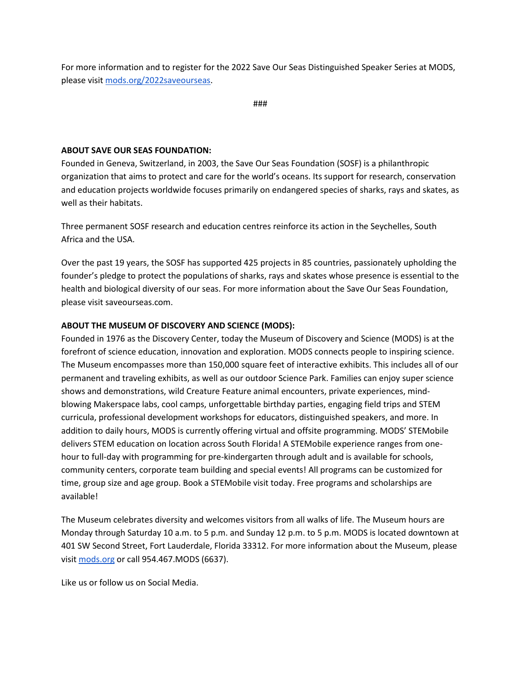For more information and to register for the 2022 Save Our Seas Distinguished Speaker Series at MODS, please visit [mods.org/2022saveourseas.](http://www.mods.org/2022saveourseas)

###

#### **ABOUT SAVE OUR SEAS FOUNDATION:**

Founded in Geneva, Switzerland, in 2003, the Save Our Seas Foundation (SOSF) is a philanthropic organization that aims to protect and care for the world's oceans. Its support for research, conservation and education projects worldwide focuses primarily on endangered species of sharks, rays and skates, as well as their habitats.

Three permanent SOSF research and education centres reinforce its action in the Seychelles, South Africa and the USA.

Over the past 19 years, the SOSF has supported 425 projects in 85 countries, passionately upholding the founder's pledge to protect the populations of sharks, rays and skates whose presence is essential to the health and biological diversity of our seas. For more information about the Save Our Seas Foundation, please visit saveourseas.com.

### **ABOUT THE MUSEUM OF DISCOVERY AND SCIENCE (MODS):**

Founded in 1976 as the Discovery Center, today the Museum of Discovery and Science (MODS) is at the forefront of science education, innovation and exploration. MODS connects people to inspiring science. The Museum encompasses more than 150,000 square feet of interactive exhibits. This includes all of our permanent and traveling exhibits, as well as our outdoor Science Park. Families can enjoy super science shows and demonstrations, wild Creature Feature animal encounters, private experiences, mindblowing Makerspace labs, cool camps, unforgettable birthday parties, engaging field trips and STEM curricula, professional development workshops for educators, distinguished speakers, and more. In addition to daily hours, MODS is currently offering virtual and offsite programming. MODS' STEMobile delivers STEM education on location across South Florida! A STEMobile experience ranges from onehour to full-day with programming for pre-kindergarten through adult and is available for schools, community centers, corporate team building and special events! All programs can be customized for time, group size and age group. Book a STEMobile visit today. Free programs and scholarships are available!

The Museum celebrates diversity and welcomes visitors from all walks of life. The Museum hours are Monday through Saturday 10 a.m. to 5 p.m. and Sunday 12 p.m. to 5 p.m. MODS is located downtown at 401 SW Second Street, Fort Lauderdale, Florida 33312. For more information about the Museum, please visit [mods.org](http://mods.org/) or call 954.467.MODS (6637).

Like us or follow us on Social Media.